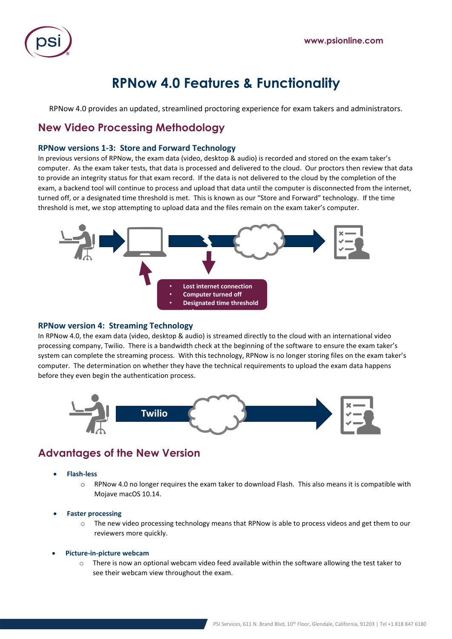

# **RPNow 4.0 Features & Functionality**

RPNow 4.0 provides an updated, streamlined proctoring experience for exam takers and administrators.

## **New Video Processing Methodology**

### **RPNow versions 1-3: Store and Forward Technology**

In previous versions of RPNow, the exam data (video, desktop & audio) is recorded and stored on the exam taker's computer. As the exam taker tests, that data is processed and delivered to the cloud. Our proctors then review that data to provide an integrity status for that exam record. If the data is not delivered to the cloud by the completion of the exam, a backend tool will continue to process and upload that data until the computer is disconnected from the internet, turned off, or a designated time threshold is met. This is known as our "Store and Forward" technology. If the time threshold is met, we stop attempting to upload data and the files remain on the exam taker's computer.



#### **RPNow version 4: Streaming Technology**

In RPNow 4.0, the exam data (video, desktop & audio) is streamed directly to the cloud with an international video processing company, Twilio. There is a bandwidth check at the beginning of the software to ensure the exam taker's system can complete the streaming process. With this technology, RPNow is no longer storing files on the exam taker's computer. The determination on whether they have the technical requirements to upload the exam data happens before they even begin the authentication process.



### **Advantages of the New Version**

- **Flash-less**
	- o RPNow 4.0 no longer requires the exam taker to download Flash. This also means it is compatible with Mojave macOS 10.14.
- **Faster processing**
	- $\circ$  The new video processing technology means that RPNow is able to process videos and get them to our reviewers more quickly.
- **Picture-in-picture webcam**
	- $\circ$  There is now an optional webcam video feed available within the software allowing the test taker to see their webcam view throughout the exam.